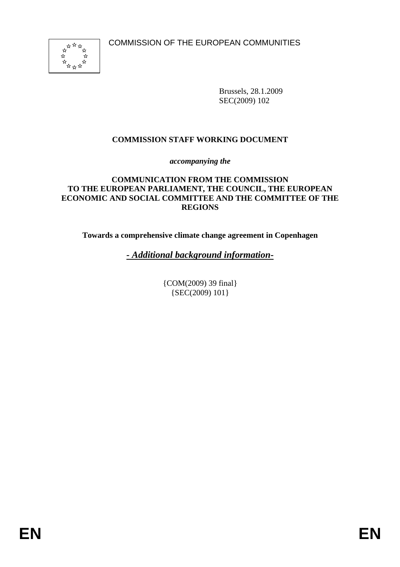

Brussels, 28.1.2009 SEC(2009) 102

## **COMMISSION STAFF WORKING DOCUMENT**

*accompanying the* 

### **COMMUNICATION FROM THE COMMISSION TO THE EUROPEAN PARLIAMENT, THE COUNCIL, THE EUROPEAN ECONOMIC AND SOCIAL COMMITTEE AND THE COMMITTEE OF THE REGIONS**

**Towards a comprehensive climate change agreement in Copenhagen** 

*- Additional background information-*

{COM(2009) 39 final} {SEC(2009) 101}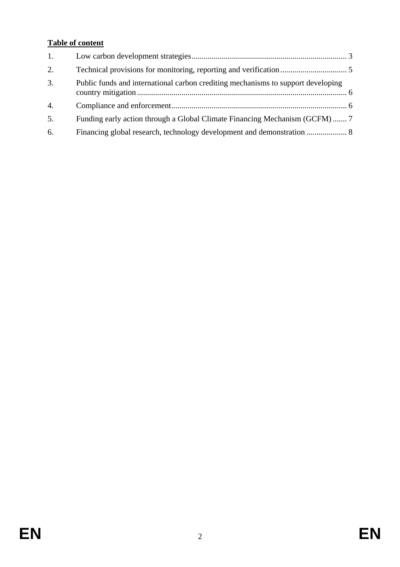# **Table of content**

| 1.               |                                                                                  |  |
|------------------|----------------------------------------------------------------------------------|--|
| 2.               |                                                                                  |  |
| 3.               | Public funds and international carbon crediting mechanisms to support developing |  |
| $\overline{4}$ . |                                                                                  |  |
| 5.               | Funding early action through a Global Climate Financing Mechanism (GCFM)  7      |  |
| 6.               |                                                                                  |  |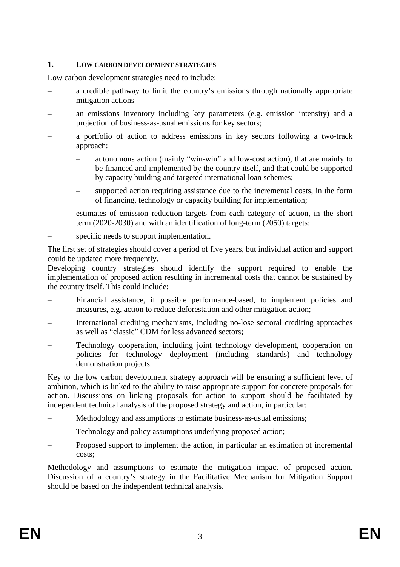### <span id="page-2-0"></span>**1. LOW CARBON DEVELOPMENT STRATEGIES**

Low carbon development strategies need to include:

- a credible pathway to limit the country's emissions through nationally appropriate mitigation actions
- an emissions inventory including key parameters (e.g. emission intensity) and a projection of business-as-usual emissions for key sectors;
- a portfolio of action to address emissions in key sectors following a two-track approach:
	- autonomous action (mainly "win-win" and low-cost action), that are mainly to be financed and implemented by the country itself, and that could be supported by capacity building and targeted international loan schemes;
	- supported action requiring assistance due to the incremental costs, in the form of financing, technology or capacity building for implementation;
- estimates of emission reduction targets from each category of action, in the short term (2020-2030) and with an identification of long-term (2050) targets;
- specific needs to support implementation.

The first set of strategies should cover a period of five years, but individual action and support could be updated more frequently.

Developing country strategies should identify the support required to enable the implementation of proposed action resulting in incremental costs that cannot be sustained by the country itself. This could include:

- Financial assistance, if possible performance-based, to implement policies and measures, e.g. action to reduce deforestation and other mitigation action;
- International crediting mechanisms, including no-lose sectoral crediting approaches as well as "classic" CDM for less advanced sectors;
- Technology cooperation, including joint technology development, cooperation on policies for technology deployment (including standards) and technology demonstration projects.

Key to the low carbon development strategy approach will be ensuring a sufficient level of ambition, which is linked to the ability to raise appropriate support for concrete proposals for action. Discussions on linking proposals for action to support should be facilitated by independent technical analysis of the proposed strategy and action, in particular:

- Methodology and assumptions to estimate business-as-usual emissions;
- Technology and policy assumptions underlying proposed action;
- Proposed support to implement the action, in particular an estimation of incremental costs;

Methodology and assumptions to estimate the mitigation impact of proposed action. Discussion of a country's strategy in the Facilitative Mechanism for Mitigation Support should be based on the independent technical analysis.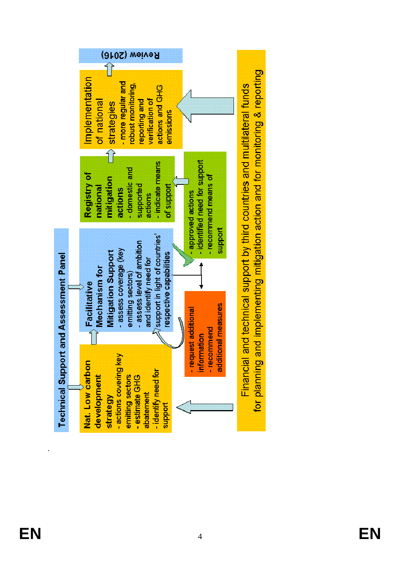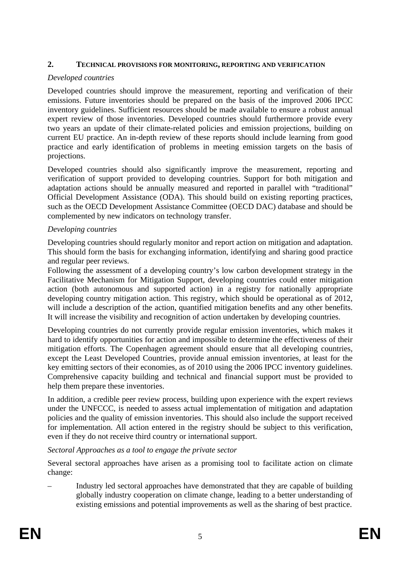### <span id="page-4-0"></span>**2. TECHNICAL PROVISIONS FOR MONITORING, REPORTING AND VERIFICATION**

## *Developed countries*

Developed countries should improve the measurement, reporting and verification of their emissions. Future inventories should be prepared on the basis of the improved 2006 IPCC inventory guidelines. Sufficient resources should be made available to ensure a robust annual expert review of those inventories. Developed countries should furthermore provide every two years an update of their climate-related policies and emission projections, building on current EU practice. An in-depth review of these reports should include learning from good practice and early identification of problems in meeting emission targets on the basis of projections.

Developed countries should also significantly improve the measurement, reporting and verification of support provided to developing countries. Support for both mitigation and adaptation actions should be annually measured and reported in parallel with "traditional" Official Development Assistance (ODA). This should build on existing reporting practices, such as the OECD Development Assistance Committee (OECD DAC) database and should be complemented by new indicators on technology transfer.

## *Developing countries*

Developing countries should regularly monitor and report action on mitigation and adaptation. This should form the basis for exchanging information, identifying and sharing good practice and regular peer reviews.

Following the assessment of a developing country's low carbon development strategy in the Facilitative Mechanism for Mitigation Support, developing countries could enter mitigation action (both autonomous and supported action) in a registry for nationally appropriate developing country mitigation action. This registry, which should be operational as of 2012, will include a description of the action, quantified mitigation benefits and any other benefits. It will increase the visibility and recognition of action undertaken by developing countries.

Developing countries do not currently provide regular emission inventories, which makes it hard to identify opportunities for action and impossible to determine the effectiveness of their mitigation efforts. The Copenhagen agreement should ensure that all developing countries, except the Least Developed Countries, provide annual emission inventories, at least for the key emitting sectors of their economies, as of 2010 using the 2006 IPCC inventory guidelines. Comprehensive capacity building and technical and financial support must be provided to help them prepare these inventories.

In addition, a credible peer review process, building upon experience with the expert reviews under the UNFCCC, is needed to assess actual implementation of mitigation and adaptation policies and the quality of emission inventories. This should also include the support received for implementation. All action entered in the registry should be subject to this verification, even if they do not receive third country or international support.

## *Sectoral Approaches as a tool to engage the private sector*

Several sectoral approaches have arisen as a promising tool to facilitate action on climate change:

– Industry led sectoral approaches have demonstrated that they are capable of building globally industry cooperation on climate change, leading to a better understanding of existing emissions and potential improvements as well as the sharing of best practice.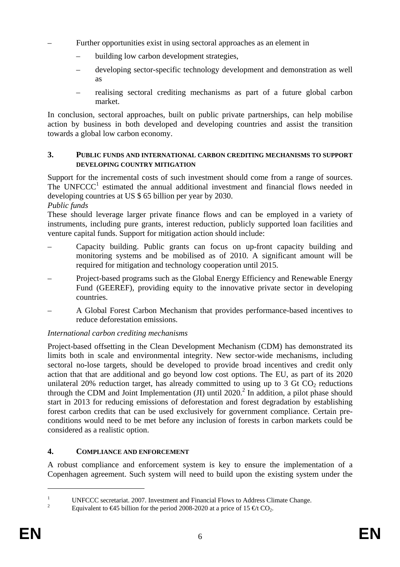- Further opportunities exist in using sectoral approaches as an element in
	- building low carbon development strategies,
	- developing sector-specific technology development and demonstration as well as
	- realising sectoral crediting mechanisms as part of a future global carbon market.

In conclusion, sectoral approaches, built on public private partnerships, can help mobilise action by business in both developed and developing countries and assist the transition towards a global low carbon economy.

### <span id="page-5-0"></span>**3. PUBLIC FUNDS AND INTERNATIONAL CARBON CREDITING MECHANISMS TO SUPPORT DEVELOPING COUNTRY MITIGATION**

Support for the incremental costs of such investment should come from a range of sources. The  $UNFCCC<sup>1</sup>$  estimated the annual additional investment and financial flows needed in developing countries at US \$ 65 billion per year by 2030.

## *Public funds*

These should leverage larger private finance flows and can be employed in a variety of instruments, including pure grants, interest reduction, publicly supported loan facilities and venture capital funds. Support for mitigation action should include:

- Capacity building. Public grants can focus on up-front capacity building and monitoring systems and be mobilised as of 2010. A significant amount will be required for mitigation and technology cooperation until 2015.
- Project-based programs such as the Global Energy Efficiency and Renewable Energy Fund (GEEREF), providing equity to the innovative private sector in developing countries.
- A Global Forest Carbon Mechanism that provides performance-based incentives to reduce deforestation emissions.

## *International carbon crediting mechanisms*

Project-based offsetting in the Clean Development Mechanism (CDM) has demonstrated its limits both in scale and environmental integrity. New sector-wide mechanisms, including sectoral no-lose targets, should be developed to provide broad incentives and credit only action that that are additional and go beyond low cost options. The EU, as part of its 2020 unilateral 20% reduction target, has already committed to using up to 3 Gt  $CO<sub>2</sub>$  reductions through the CDM and Joint Implementation  $(JI)$  until 2020.<sup>2</sup> In addition, a pilot phase should start in 2013 for reducing emissions of deforestation and forest degradation by establishing forest carbon credits that can be used exclusively for government compliance. Certain preconditions would need to be met before any inclusion of forests in carbon markets could be considered as a realistic option.

## <span id="page-5-1"></span>**4. COMPLIANCE AND ENFORCEMENT**

A robust compliance and enforcement system is key to ensure the implementation of a Copenhagen agreement. Such system will need to build upon the existing system under the

1

<sup>1</sup> UNFCCC secretariat. 2007. Investment and Financial Flows to Address Climate Change.

Equivalent to  $\epsilon$ 45 billion for the period 2008-2020 at a price of 15  $\epsilon$ t CO<sub>2</sub>.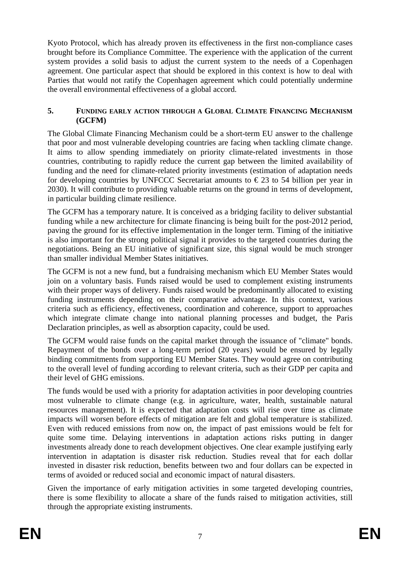Kyoto Protocol, which has already proven its effectiveness in the first non-compliance cases brought before its Compliance Committee. The experience with the application of the current system provides a solid basis to adjust the current system to the needs of a Copenhagen agreement. One particular aspect that should be explored in this context is how to deal with Parties that would not ratify the Copenhagen agreement which could potentially undermine the overall environmental effectiveness of a global accord.

### <span id="page-6-0"></span>**5. FUNDING EARLY ACTION THROUGH A GLOBAL CLIMATE FINANCING MECHANISM (GCFM)**

The Global Climate Financing Mechanism could be a short-term EU answer to the challenge that poor and most vulnerable developing countries are facing when tackling climate change. It aims to allow spending immediately on priority climate-related investments in those countries, contributing to rapidly reduce the current gap between the limited availability of funding and the need for climate-related priority investments (estimation of adaptation needs for developing countries by UNFCCC Secretariat amounts to  $\epsilon$ 23 to 54 billion per year in 2030). It will contribute to providing valuable returns on the ground in terms of development, in particular building climate resilience.

The GCFM has a temporary nature. It is conceived as a bridging facility to deliver substantial funding while a new architecture for climate financing is being built for the post-2012 period, paving the ground for its effective implementation in the longer term. Timing of the initiative is also important for the strong political signal it provides to the targeted countries during the negotiations. Being an EU initiative of significant size, this signal would be much stronger than smaller individual Member States initiatives.

The GCFM is not a new fund, but a fundraising mechanism which EU Member States would join on a voluntary basis. Funds raised would be used to complement existing instruments with their proper ways of delivery. Funds raised would be predominantly allocated to existing funding instruments depending on their comparative advantage. In this context, various criteria such as efficiency, effectiveness, coordination and coherence, support to approaches which integrate climate change into national planning processes and budget, the Paris Declaration principles, as well as absorption capacity, could be used.

The GCFM would raise funds on the capital market through the issuance of "climate" bonds. Repayment of the bonds over a long-term period (20 years) would be ensured by legally binding commitments from supporting EU Member States. They would agree on contributing to the overall level of funding according to relevant criteria, such as their GDP per capita and their level of GHG emissions.

The funds would be used with a priority for adaptation activities in poor developing countries most vulnerable to climate change (e.g. in agriculture, water, health, sustainable natural resources management). It is expected that adaptation costs will rise over time as climate impacts will worsen before effects of mitigation are felt and global temperature is stabilized. Even with reduced emissions from now on, the impact of past emissions would be felt for quite some time. Delaying interventions in adaptation actions risks putting in danger investments already done to reach development objectives. One clear example justifying early intervention in adaptation is disaster risk reduction. Studies reveal that for each dollar invested in disaster risk reduction, benefits between two and four dollars can be expected in terms of avoided or reduced social and economic impact of natural disasters.

Given the importance of early mitigation activities in some targeted developing countries, there is some flexibility to allocate a share of the funds raised to mitigation activities, still through the appropriate existing instruments.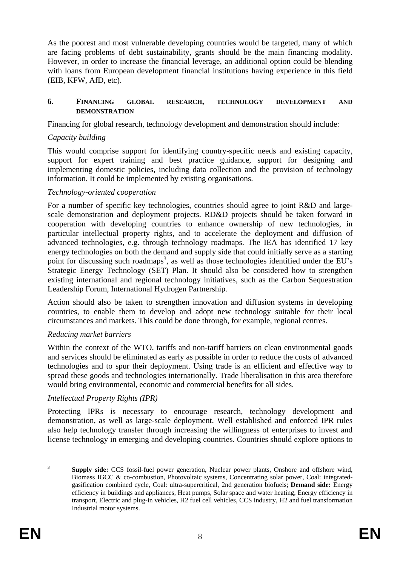As the poorest and most vulnerable developing countries would be targeted, many of which are facing problems of debt sustainability, grants should be the main financing modality. However, in order to increase the financial leverage, an additional option could be blending with loans from European development financial institutions having experience in this field (EIB, KFW, AfD, etc).

#### <span id="page-7-0"></span>**6. FINANCING GLOBAL RESEARCH, TECHNOLOGY DEVELOPMENT AND DEMONSTRATION**

Financing for global research, technology development and demonstration should include:

### *Capacity building*

This would comprise support for identifying country-specific needs and existing capacity, support for expert training and best practice guidance, support for designing and implementing domestic policies, including data collection and the provision of technology information. It could be implemented by existing organisations.

### *Technology-oriented cooperation*

For a number of specific key technologies, countries should agree to joint R&D and largescale demonstration and deployment projects. RD&D projects should be taken forward in cooperation with developing countries to enhance ownership of new technologies, in particular intellectual property rights, and to accelerate the deployment and diffusion of advanced technologies, e.g. through technology roadmaps. The IEA has identified 17 key energy technologies on both the demand and supply side that could initially serve as a starting point for discussing such roadmaps<sup>3</sup>, as well as those technologies identified under the EU's Strategic Energy Technology (SET) Plan. It should also be considered how to strengthen existing international and regional technology initiatives, such as the Carbon Sequestration Leadership Forum, International Hydrogen Partnership.

Action should also be taken to strengthen innovation and diffusion systems in developing countries, to enable them to develop and adopt new technology suitable for their local circumstances and markets. This could be done through, for example, regional centres.

## *Reducing market barriers*

Within the context of the WTO, tariffs and non-tariff barriers on clean environmental goods and services should be eliminated as early as possible in order to reduce the costs of advanced technologies and to spur their deployment. Using trade is an efficient and effective way to spread these goods and technologies internationally. Trade liberalisation in this area therefore would bring environmental, economic and commercial benefits for all sides.

## *Intellectual Property Rights (IPR)*

Protecting IPRs is necessary to encourage research, technology development and demonstration, as well as large-scale deployment. Well established and enforced IPR rules also help technology transfer through increasing the willingness of enterprises to invest and license technology in emerging and developing countries. Countries should explore options to

<u>.</u>

<sup>3</sup> **Supply side:** CCS fossil-fuel power generation, Nuclear power plants, Onshore and offshore wind, Biomass IGCC & co-combustion, Photovoltaic systems, Concentrating solar power, Coal: integratedgasification combined cycle, Coal: ultra-supercritical, 2nd generation biofuels; **Demand side:** Energy efficiency in buildings and appliances, Heat pumps, Solar space and water heating, Energy efficiency in transport, Electric and plug-in vehicles, H2 fuel cell vehicles, CCS industry, H2 and fuel transformation Industrial motor systems.